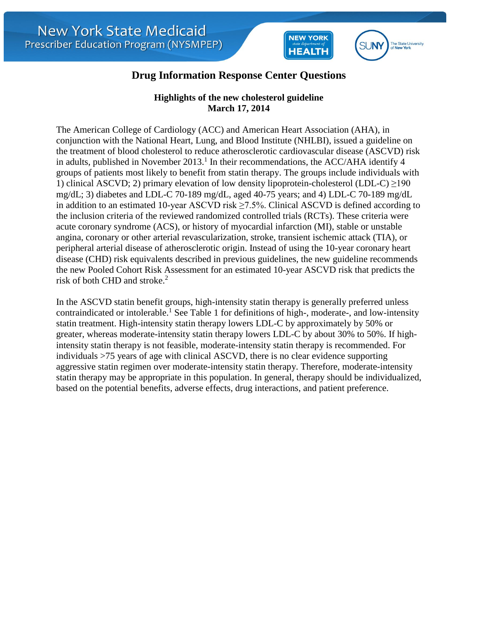



## **Drug Information Response Center Questions**

## **Highlights of the new cholesterol guideline March 17, 2014**

The American College of Cardiology (ACC) and American Heart Association (AHA), in conjunction with the National Heart, Lung, and Blood Institute (NHLBI), issued a guideline on the treatment of blood cholesterol to reduce atherosclerotic cardiovascular disease (ASCVD) risk in adults, published in November  $2013$ .<sup>1</sup> In their recommendations, the ACC/AHA identify 4 groups of patients most likely to benefit from statin therapy. The groups include individuals with 1) clinical ASCVD; 2) primary elevation of low density lipoprotein-cholesterol (LDL-C)  $\geq$ 190 mg/dL; 3) diabetes and LDL-C 70-189 mg/dL, aged 40-75 years; and 4) LDL-C 70-189 mg/dL in addition to an estimated 10-year ASCVD risk  $\geq$ 7.5%. Clinical ASCVD is defined according to the inclusion criteria of the reviewed randomized controlled trials (RCTs). These criteria were acute coronary syndrome (ACS), or history of myocardial infarction (MI), stable or unstable angina, coronary or other arterial revascularization, stroke, transient ischemic attack (TIA), or peripheral arterial disease of atherosclerotic origin. Instead of using the 10-year coronary heart disease (CHD) risk equivalents described in previous guidelines, the new guideline recommends the new Pooled Cohort Risk Assessment for an estimated 10-year ASCVD risk that predicts the risk of both CHD and stroke.<sup>2</sup>

In the ASCVD statin benefit groups, high-intensity statin therapy is generally preferred unless contraindicated or intolerable.<sup>1</sup> See Table 1 for definitions of high-, moderate-, and low-intensity statin treatment. High-intensity statin therapy lowers LDL-C by approximately by 50% or greater, whereas moderate-intensity statin therapy lowers LDL-C by about 30% to 50%. If highintensity statin therapy is not feasible, moderate-intensity statin therapy is recommended. For individuals >75 years of age with clinical ASCVD, there is no clear evidence supporting aggressive statin regimen over moderate-intensity statin therapy. Therefore, moderate-intensity statin therapy may be appropriate in this population. In general, therapy should be individualized, based on the potential benefits, adverse effects, drug interactions, and patient preference.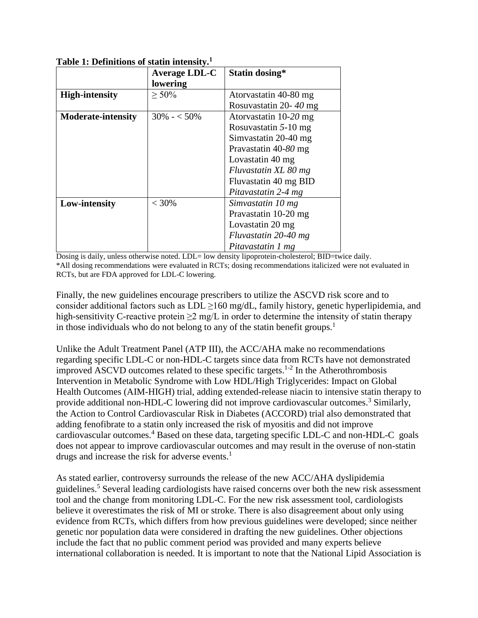|                           | <b>Average LDL-C</b> | Statin dosing*         |
|---------------------------|----------------------|------------------------|
|                           | lowering             |                        |
| <b>High-intensity</b>     | $\geq 50\%$          | Atorvastatin 40-80 mg  |
|                           |                      | Rosuvastatin 20-40 mg  |
| <b>Moderate-intensity</b> | $30\% - 50\%$        | Atorvastatin 10-20 mg  |
|                           |                      | Rosuvastatin $5-10$ mg |
|                           |                      | Simvastatin 20-40 mg   |
|                           |                      | Pravastatin 40-80 mg   |
|                           |                      | Lovastatin 40 mg       |
|                           |                      | Fluvastatin XL 80 mg   |
|                           |                      | Fluvastatin 40 mg BID  |
|                           |                      | Pitavastatin 2-4 mg    |
| Low-intensity             | $< 30\%$             | Simvastatin 10 mg      |
|                           |                      | Pravastatin 10-20 mg   |
|                           |                      | Lovastatin 20 mg       |
|                           |                      | Fluvastatin 20-40 mg   |
|                           |                      | Pitavastatin 1 mg      |

**Table 1: Definitions of statin intensity.<sup>1</sup>**

Dosing is daily, unless otherwise noted. LDL= low density lipoprotein-cholesterol; BID=twice daily. \*All dosing recommendations were evaluated in RCTs; dosing recommendations italicized were not evaluated in RCTs, but are FDA approved for LDL-C lowering.

Finally, the new guidelines encourage prescribers to utilize the ASCVD risk score and to consider additional factors such as  $LDL \ge 160$  mg/dL, family history, genetic hyperlipidemia, and high-sensitivity C-reactive protein  $\geq 2$  mg/L in order to determine the intensity of statin therapy in those individuals who do not belong to any of the statin benefit groups.<sup>1</sup>

Unlike the Adult Treatment Panel (ATP III), the ACC/AHA make no recommendations regarding specific LDL-C or non-HDL-C targets since data from RCTs have not demonstrated improved ASCVD outcomes related to these specific targets. 1-2 In the Atherothrombosis Intervention in Metabolic Syndrome with Low HDL/High Triglycerides: Impact on Global Health Outcomes (AIM-HIGH) trial, adding extended-release niacin to intensive statin therapy to provide additional non-HDL-C lowering did not improve cardiovascular outcomes.<sup>3</sup> Similarly, the Action to Control Cardiovascular Risk in Diabetes (ACCORD) trial also demonstrated that adding fenofibrate to a statin only increased the risk of myositis and did not improve cardiovascular outcomes. <sup>4</sup> Based on these data, targeting specific LDL-C and non-HDL-C goals does not appear to improve cardiovascular outcomes and may result in the overuse of non-statin drugs and increase the risk for adverse events. $<sup>1</sup>$ </sup>

As stated earlier, controversy surrounds the release of the new ACC/AHA dyslipidemia guidelines.<sup>5</sup> Several leading cardiologists have raised concerns over both the new risk assessment tool and the change from monitoring LDL-C. For the new risk assessment tool, cardiologists believe it overestimates the risk of MI or stroke. There is also disagreement about only using evidence from RCTs, which differs from how previous guidelines were developed; since neither genetic nor population data were considered in drafting the new guidelines. Other objections include the fact that no public comment period was provided and many experts believe international collaboration is needed. It is important to note that the National Lipid Association is